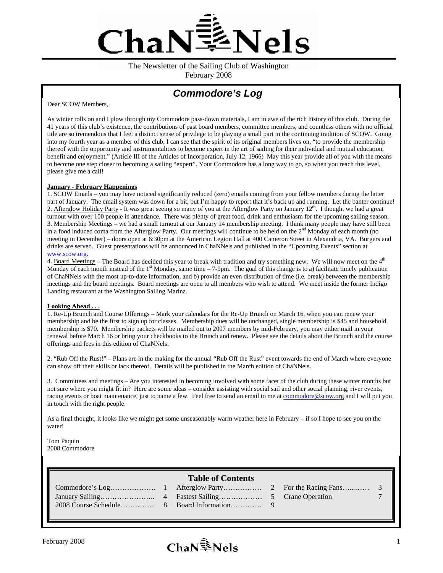# ⊱iNels≇

The Newsletter of the Sailing Club of Washington February 2008

# *Commodore's Log*

Dear SCOW Members,

As winter rolls on and I plow through my Commodore pass-down materials, I am in awe of the rich history of this club. During the 41 years of this club's existence, the contributions of past board members, committee members, and countless others with no official title are so tremendous that I feel a distinct sense of privilege to be playing a small part in the continuing tradition of SCOW. Going into my fourth year as a member of this club, I can see that the spirit of its original members lives on, "to provide the membership thereof with the opportunity and instrumentalities to become expert in the art of sailing for their individual and mutual education, benefit and enjoyment." (Article III of the Articles of Incorporation, July 12, 1966) May this year provide all of you with the means to become one step closer to becoming a sailing "expert". Your Commodore has a long way to go, so when you reach this level, please give me a call!

#### **January - February Happenings**

1. SCOW Emails – you may have noticed significantly reduced (zero) emails coming from your fellow members during the latter part of January. The email system was down for a bit, but I'm happy to report that it's back up and running. Let the banter continue! 2. Afterglow Holiday Party - It was great seeing so many of you at the Afterglow Party on January  $12<sup>th</sup>$ . I thought we had a great turnout with over 100 people in attendance. There was plenty of great food, drink and enthusiasm for the upcoming sailing season. 3. Membership Meetings – we had a small turnout at our January 14 membership meeting. I think many people may have still been in a food induced coma from the Afterglow Party. Our meetings will continue to be held on the  $2<sup>nd</sup>$  Monday of each month (no meeting in December) – doors open at 6:30pm at the American Legion Hall at 400 Cameron Street in Alexandria, VA. Burgers and drinks are served. Guest presentations will be announced in ChaNNels and published in the "Upcoming Events" section at www.scow.org.

4. Board Meetings – The Board has decided this year to break with tradition and try something new. We will now meet on the  $4<sup>th</sup>$ Monday of each month instead of the  $1<sup>st</sup>$  Monday, same time  $-7$ -9pm. The goal of this change is to a) facilitate timely publication of ChaNNels with the most up-to-date information, and b) provide an even distribution of time (i.e. break) between the membership meetings and the board meetings. Board meetings are open to all members who wish to attend. We meet inside the former Indigo Landing restaurant at the Washington Sailing Marina.

#### **Looking Ahead . . .**

1. Re-Up Brunch and Course Offerings – Mark your calendars for the Re-Up Brunch on March 16, when you can renew your membership and be the first to sign up for classes. Membership dues will be unchanged, single membership is \$45 and household membership is \$70. Membership packets will be mailed out to 2007 members by mid-February, you may either mail in your renewal before March 16 or bring your checkbooks to the Brunch and renew. Please see the details about the Brunch and the course offerings and fees in this edition of ChaNNels.

2. "Rub Off the Rust!" – Plans are in the making for the annual "Rub Off the Rust" event towards the end of March where everyone can show off their skills or lack thereof. Details will be published in the March edition of ChaNNels.

3. Committees and meetings – Are you interested in becoming involved with some facet of the club during these winter months but not sure where you might fit in? Here are some ideas – consider assisting with social sail and other social planning, river events, racing events or boat maintenance, just to name a few. Feel free to send an email to me at commodore@scow.org and I will put you in touch with the right people.

As a final thought, it looks like we might get some unseasonably warm weather here in February – if so I hope to see you on the water!

Tom Paquin 2008 Commodore

#### **Table of Contents**

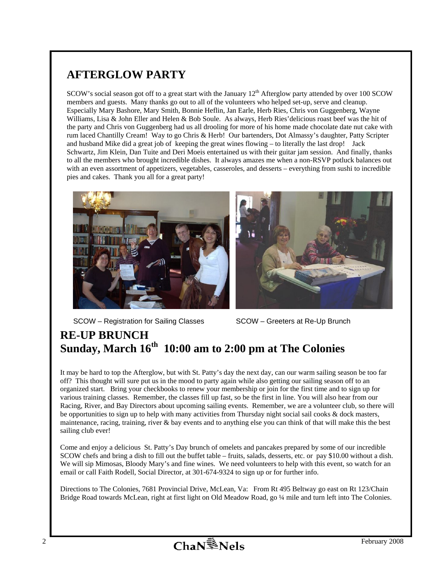# **AFTERGLOW PARTY**

SCOW's social season got off to a great start with the January 12<sup>th</sup> Afterglow party attended by over 100 SCOW members and guests. Many thanks go out to all of the volunteers who helped set-up, serve and cleanup. Especially Mary Bashore, Mary Smith, Bonnie Heflin, Jan Earle, Herb Ries, Chris von Guggenberg, Wayne Williams, Lisa & John Eller and Helen & Bob Soule. As always, Herb Ries'delicious roast beef was the hit of the party and Chris von Guggenberg had us all drooling for more of his home made chocolate date nut cake with rum laced Chantilly Cream! Way to go Chris & Herb! Our bartenders, Dot Almassy's daughter, Patty Scripter and husband Mike did a great job of keeping the great wines flowing – to literally the last drop! Jack Schwartz, Jim Klein, Dan Tuite and Deri Moeis entertained us with their guitar jam session. And finally, thanks to all the members who brought incredible dishes. It always amazes me when a non-RSVP potluck balances out with an even assortment of appetizers, vegetables, casseroles, and desserts – everything from sushi to incredible pies and cakes. Thank you all for a great party!



SCOW – Registration for Sailing Classes SCOW – Greeters at Re-Up Brunch

# **RE-UP BRUNCH Sunday, March 16th 10:00 am to 2:00 pm at The Colonies**

It may be hard to top the Afterglow, but with St. Patty's day the next day, can our warm sailing season be too far off? This thought will sure put us in the mood to party again while also getting our sailing season off to an organized start. Bring your checkbooks to renew your membership or join for the first time and to sign up for various training classes. Remember, the classes fill up fast, so be the first in line. You will also hear from our Racing, River, and Bay Directors about upcoming sailing events. Remember, we are a volunteer club, so there will be opportunities to sign up to help with many activities from Thursday night social sail cooks & dock masters, maintenance, racing, training, river & bay events and to anything else you can think of that will make this the best sailing club ever!

Come and enjoy a delicious St. Patty's Day brunch of omelets and pancakes prepared by some of our incredible SCOW chefs and bring a dish to fill out the buffet table – fruits, salads, desserts, etc. or pay \$10.00 without a dish. We will sip Mimosas, Bloody Mary's and fine wines. We need volunteers to help with this event, so watch for an email or call Faith Rodell, Social Director, at 301-674-9324 to sign up or for further info.

Directions to The Colonies, 7681 Provincial Drive, McLean, Va: From Rt 495 Beltway go east on Rt 123/Chain Bridge Road towards McLean, right at first light on Old Meadow Road, go ¼ mile and turn left into The Colonies.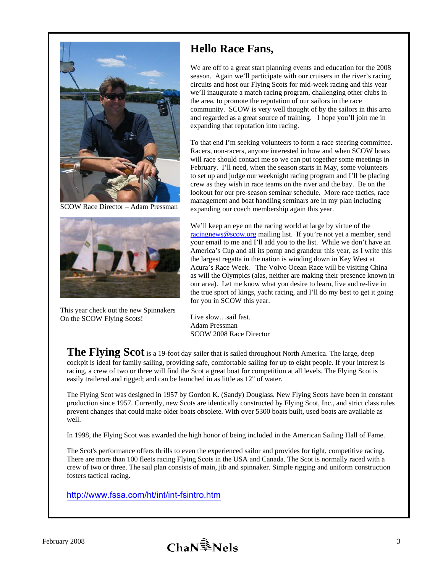

SCOW Race Director – Adam Pressman



This year check out the new Spinnakers On the SCOW Flying Scots!

# **Hello Race Fans,**

We are off to a great start planning events and education for the 2008 season. Again we'll participate with our cruisers in the river's racing circuits and host our Flying Scots for mid-week racing and this year we'll inaugurate a match racing program, challenging other clubs in the area, to promote the reputation of our sailors in the race community. SCOW is very well thought of by the sailors in this area and regarded as a great source of training. I hope you'll join me in expanding that reputation into racing.

To that end I'm seeking volunteers to form a race steering committee. Racers, non-racers, anyone interested in how and when SCOW boats will race should contact me so we can put together some meetings in February. I'll need, when the season starts in May, some volunteers to set up and judge our weeknight racing program and I'll be placing crew as they wish in race teams on the river and the bay. Be on the lookout for our pre-season seminar schedule. More race tactics, race management and boat handling seminars are in my plan including expanding our coach membership again this year.

We'll keep an eye on the racing world at large by virtue of the racingnews@scow.org mailing list. If you're not yet a member, send your email to me and I'll add you to the list. While we don't have an America's Cup and all its pomp and grandeur this year, as I write this the largest regatta in the nation is winding down in Key West at Acura's Race Week. The Volvo Ocean Race will be visiting China as will the Olympics (alas, neither are making their presence known in our area). Let me know what you desire to learn, live and re-live in the true sport of kings, yacht racing, and I'll do my best to get it going for you in SCOW this year.

Live slow…sail fast. Adam Pressman SCOW 2008 Race Director

The Flying Scot is a 19-foot day sailer that is sailed throughout North America. The large, deep cockpit is ideal for family sailing, providing safe, comfortable sailing for up to eight people. If your interest is racing, a crew of two or three will find the Scot a great boat for competition at all levels. The Flying Scot is easily trailered and rigged; and can be launched in as little as 12" of water.

The Flying Scot was designed in 1957 by Gordon K. (Sandy) Douglass. New Flying Scots have been in constant production since 1957. Currently, new Scots are identically constructed by Flying Scot, Inc., and strict class rules prevent changes that could make older boats obsolete. With over 5300 boats built, used boats are available as well.

In 1998, the Flying Scot was awarded the high honor of being included in the American Sailing Hall of Fame.

The Scot's performance offers thrills to even the experienced sailor and provides for tight, competitive racing. There are more than 100 fleets racing Flying Scots in the USA and Canada. The Scot is normally raced with a crew of two or three. The sail plan consists of main, jib and spinnaker. Simple rigging and uniform construction fosters tactical racing.

http://www.fssa.com/ht/int/int-fsintro.htm

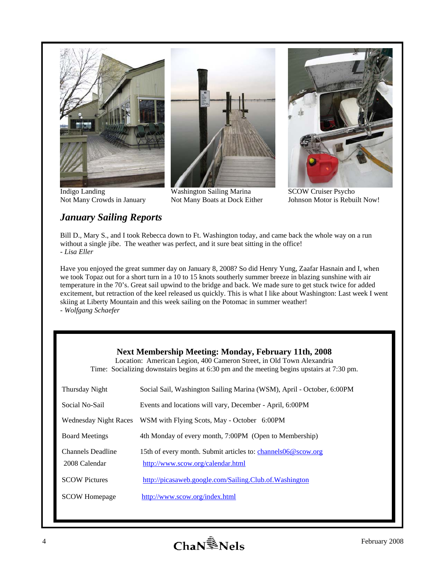

Indigo Landing Not Many Crowds in January



Washington Sailing Marina Not Many Boats at Dock Either



SCOW Cruiser Psycho Johnson Motor is Rebuilt Now!

## *January Sailing Reports*

Bill D., Mary S., and I took Rebecca down to Ft. Washington today, and came back the whole way on a run without a single jibe. The weather was perfect, and it sure beat sitting in the office! *- Lisa Eller* 

Have you enjoyed the great summer day on January 8, 2008? So did Henry Yung, Zaafar Hasnain and I, when we took Topaz out for a short turn in a 10 to 15 knots southerly summer breeze in blazing sunshine with air temperature in the 70's. Great sail upwind to the bridge and back. We made sure to get stuck twice for added excitement, but retraction of the keel released us quickly. This is what I like about Washington: Last week I went skiing at Liberty Mountain and this week sailing on the Potomac in summer weather! *- Wolfgang Schaefer* 

#### **Next Membership Meeting: Monday, February 11th, 2008**

Location: American Legion, 400 Cameron Street, in Old Town Alexandria Time: Socializing downstairs begins at 6:30 pm and the meeting begins upstairs at 7:30 pm.

| Thursday Night                     | Social Sail, Washington Sailing Marina (WSM), April - October, 6:00PM                             |
|------------------------------------|---------------------------------------------------------------------------------------------------|
| Social No-Sail                     | Events and locations will vary, December - April, 6:00PM                                          |
| Wednesday Night Races              | WSM with Flying Scots, May - October 6:00PM                                                       |
| <b>Board Meetings</b>              | 4th Monday of every month, 7:00PM (Open to Membership)                                            |
| Channels Deadline<br>2008 Calendar | 15th of every month. Submit articles to: channels06@scow.org<br>http://www.scow.org/calendar.html |
| <b>SCOW Pictures</b>               | http://picasaweb.google.com/Sailing.Club.of.Washington                                            |
| <b>SCOW</b> Homepage               | http://www.scow.org/index.html                                                                    |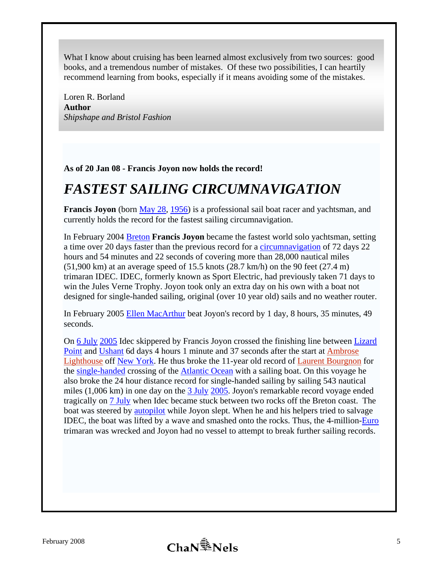What I know about cruising has been learned almost exclusively from two sources: good books, and a tremendous number of mistakes. Of these two possibilities, I can heartily recommend learning from books, especially if it means avoiding some of the mistakes.

Loren R. Borland **Author**  *Shipshape and Bristol Fashion* 

#### **As of 20 Jan 08 - Francis Joyon now holds the record!**

# *FASTEST SAILING CIRCUMNAVIGATION*

**Francis Joyon** (born May 28, 1956) is a professional sail boat racer and yachtsman, and currently holds the record for the fastest sailing circumnavigation.

In February 2004 Breton **Francis Joyon** became the fastest world solo yachtsman, setting a time over 20 days faster than the previous record for a circumnavigation of 72 days 22 hours and 54 minutes and 22 seconds of covering more than 28,000 nautical miles  $(51,900 \text{ km})$  at an average speed of 15.5 knots  $(28.7 \text{ km/h})$  on the 90 feet  $(27.4 \text{ m})$ trimaran IDEC. IDEC, formerly known as Sport Electric, had previously taken 71 days to win the Jules Verne Trophy. Joyon took only an extra day on his own with a boat not designed for single-handed sailing, original (over 10 year old) sails and no weather router.

In February 2005 Ellen MacArthur beat Joyon's record by 1 day, 8 hours, 35 minutes, 49 seconds.

On 6 July 2005 Idec skippered by Francis Joyon crossed the finishing line between Lizard Point and Ushant 6d days 4 hours 1 minute and 37 seconds after the start at Ambrose Lighthouse off New York. He thus broke the 11-year old record of Laurent Bourgnon for the single-handed crossing of the Atlantic Ocean with a sailing boat. On this voyage he also broke the 24 hour distance record for single-handed sailing by sailing 543 nautical miles (1,006 km) in one day on the 3 July 2005. Joyon's remarkable record voyage ended tragically on 7 July when Idec became stuck between two rocks off the Breton coast. The boat was steered by autopilot while Joyon slept. When he and his helpers tried to salvage IDEC, the boat was lifted by a wave and smashed onto the rocks. Thus, the 4-million-Euro trimaran was wrecked and Joyon had no vessel to attempt to break further sailing records.

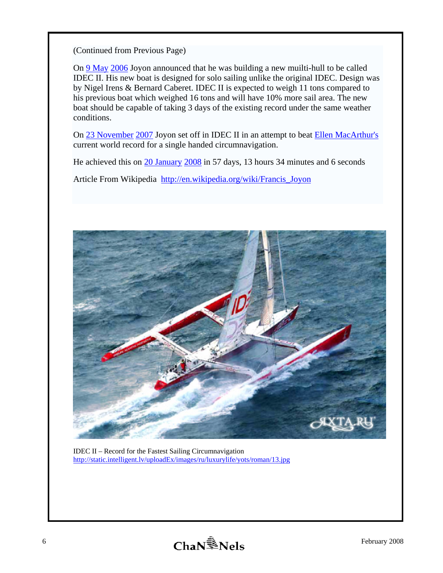#### (Continued from Previous Page)

On 9 May 2006 Joyon announced that he was building a new muilti-hull to be called IDEC II. His new boat is designed for solo sailing unlike the original IDEC. Design was by Nigel Irens & Bernard Caberet. IDEC II is expected to weigh 11 tons compared to his previous boat which weighed 16 tons and will have 10% more sail area. The new boat should be capable of taking 3 days of the existing record under the same weather conditions.

On 23 November 2007 Joyon set off in IDEC II in an attempt to beat Ellen MacArthur's current world record for a single handed circumnavigation.

He achieved this on 20 January 2008 in 57 days, 13 hours 34 minutes and 6 seconds

Article From Wikipedia http://en.wikipedia.org/wiki/Francis\_Joyon



IDEC II – Record for the Fastest Sailing Circumnavigation http://static.intelligent.lv/uploadEx/images/ru/luxurylife/yots/roman/13.jpg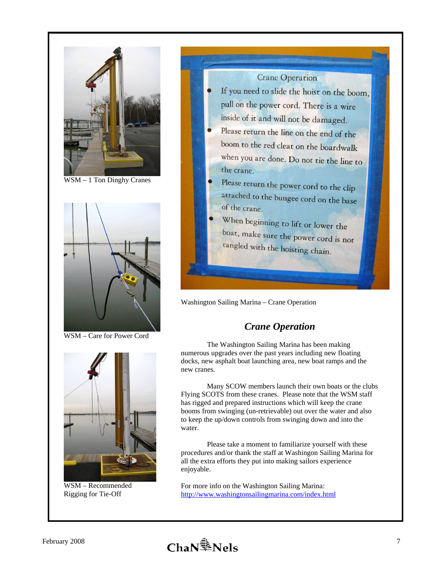

WSM – 1 Ton Dinghy Cranes



WSM – Care for Power Cord



WSM – Recommended Rigging for Tie-Off

# **Crane Operation** If you need to slide the hoist on the boom, pull on the power cord. There is a wire inside of it and will not be damaged. Please return the line on the end of the boom to the red cleat on the boardwalk when you are done. Do not tie the line to the crane Please return the power cord to the clip attached to the bungee cord on the base of the crane. When beginning to lift or lower the boat, make sure the power cord is not tangled with the hoisting chain.

Washington Sailing Marina – Crane Operation

### *Crane Operation*

The Washington Sailing Marina has been making numerous upgrades over the past years including new floating docks, new asphalt boat launching area, new boat ramps and the new cranes.

Many SCOW members launch their own boats or the clubs Flying SCOTS from these cranes. Please note that the WSM staff has rigged and prepared instructions which will keep the crane booms from swinging (un-retrievable) out over the water and also to keep the up/down controls from swinging down and into the water.

Please take a moment to familiarize yourself with these procedures and/or thank the staff at Washingon Sailing Marina for all the extra efforts they put into making sailors experience enjoyable.

For more info on the Washington Sailing Marina: http://www.washingtonsailingmarina.com/index.html

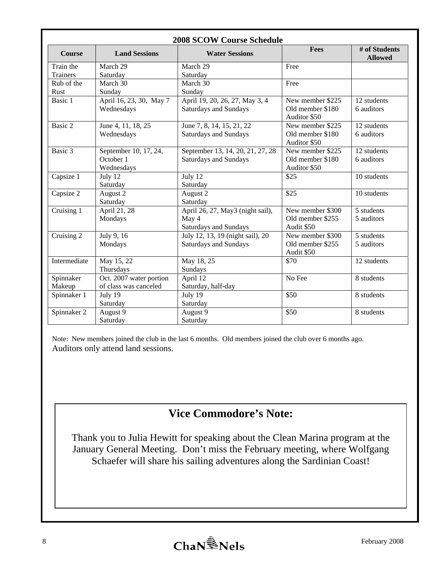|                                       |                         | <b>2008 SCOW Course Schedule</b> |                                  |                                 |
|---------------------------------------|-------------------------|----------------------------------|----------------------------------|---------------------------------|
| <b>Land Sessions</b><br><b>Course</b> |                         | <b>Water Sessions</b>            | Fees                             | # of Students<br><b>Allowed</b> |
| Train the                             | March 29                | March 29                         | Free                             |                                 |
| <b>Trainers</b>                       | Saturday                | Saturday                         |                                  |                                 |
| Rub of the                            | March 30                | March 30                         | Free                             |                                 |
| Rust                                  | Sunday                  | Sunday                           |                                  |                                 |
| Basic 1                               | April 16, 23, 30, May 7 | April 19, 20, 26, 27, May 3, 4   | New member \$225                 | 12 students                     |
|                                       | Wednesdays              | Saturdays and Sundays            | Old member \$180<br>Auditor \$50 | 6 auditors                      |
| Basic 2                               | June 4, 11, 18, 25      | June 7, 8, 14, 15, 21, 22        | New member \$225                 | 12 students                     |
|                                       | Wednesdays              | Saturdays and Sundays            | Old member \$180<br>Auditor \$50 | 6 auditors                      |
| Basic 3                               | September 10, 17, 24,   | September 13, 14, 20, 21, 27, 28 | New member \$225                 | 12 students                     |
|                                       | October 1               | Saturdays and Sundays            | Old member \$180                 | 6 auditors                      |
|                                       | Wednesdays              |                                  | Auditor \$50                     |                                 |
| Capsize 1                             | July 12                 | July 12                          | \$25                             | 10 students                     |
|                                       | Saturday                | Saturday                         |                                  |                                 |
| Capsize 2                             | August 2                | August 2                         | \$25                             | 10 students                     |
|                                       | Saturday                | Saturday                         |                                  |                                 |
| Cruising 1                            | April 21, 28            | April 26, 27, May3 (night sail), | New member \$300                 | 5 students                      |
|                                       | Mondays                 | May 4                            | Old member \$255                 | 5 auditors                      |
|                                       |                         | Saturdays and Sundays            | Audit \$50                       |                                 |
| Cruising 2                            | July 9, 16              | July 12, 13, 19 (night sail), 20 | New member \$300                 | 5 students                      |
|                                       | Mondays                 | Saturdays and Sundays            | Old member \$255                 | 5 auditors                      |
|                                       |                         |                                  | Audit \$50                       |                                 |
| Intermediate                          | May 15, 22              | May 18, 25                       | \$70                             | 12 students                     |
|                                       | Thursdays               | Sundays                          |                                  |                                 |
| Spinnaker                             | Oct. 2007 water portion | April 12                         | No Fee                           | 8 students                      |
| Makeup                                | of class was canceled   | Saturday, half-day               |                                  |                                 |
| Spinnaker 1                           | July 19                 | July $1\overline{9}$             | \$50                             | 8 students                      |
|                                       | Saturday                | Saturday                         |                                  |                                 |
| Spinnaker 2                           | August $\overline{9}$   | August 9                         | \$50                             | 8 students                      |
|                                       | Saturday                | Saturday                         |                                  |                                 |

 Note: New members joined the club in the last 6 months. Old members joined the club over 6 months ago. Auditors only attend land sessions.

# **Vice Commodore's Note:**

Thank you to Julia Hewitt for speaking about the Clean Marina program at the January General Meeting. Don't miss the February meeting, where Wolfgang Schaefer will share his sailing adventures along the Sardinian Coast!